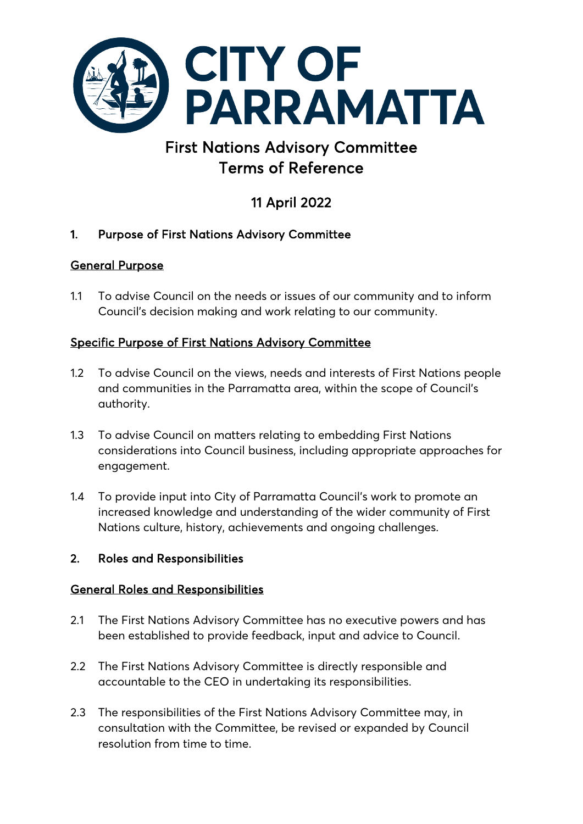

# First Nations Advisory Committee Terms of Reference

# 11 April 2022

# 1. Purpose of First Nations Advisory Committee

# General Purpose

1.1 To advise Council on the needs or issues of our community and to inform Council's decision making and work relating to our community.

# Specific Purpose of First Nations Advisory Committee

- 1.2 To advise Council on the views, needs and interests of First Nations people and communities in the Parramatta area, within the scope of Council's authority.
- 1.3 To advise Council on matters relating to embedding First Nations considerations into Council business, including appropriate approaches for engagement.
- 1.4 To provide input into City of Parramatta Council's work to promote an increased knowledge and understanding of the wider community of First Nations culture, history, achievements and ongoing challenges.

# 2. Roles and Responsibilities

# General Roles and Responsibilities

- 2.1 The First Nations Advisory Committee has no executive powers and has been established to provide feedback, input and advice to Council.
- 2.2 The First Nations Advisory Committee is directly responsible and accountable to the CEO in undertaking its responsibilities.
- 2.3 The responsibilities of the First Nations Advisory Committee may, in consultation with the Committee, be revised or expanded by Council resolution from time to time.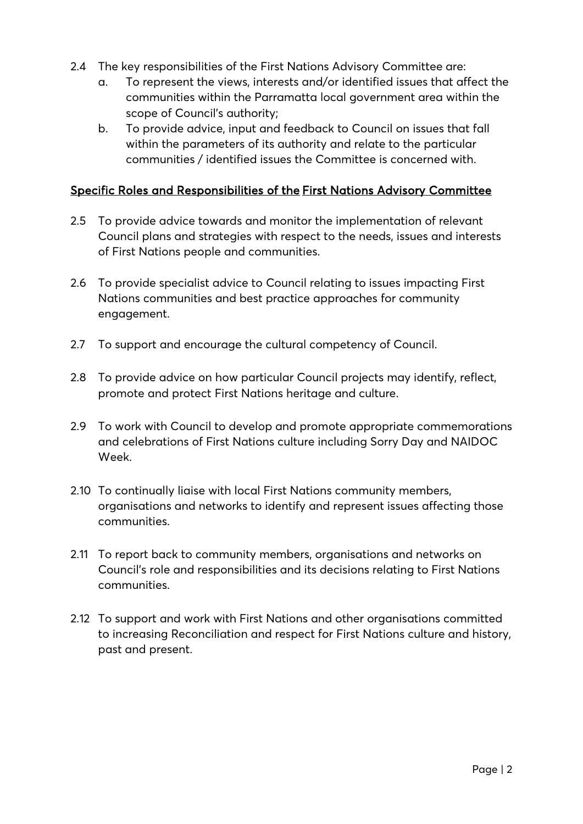- 2.4 The key responsibilities of the First Nations Advisory Committee are:
	- a. To represent the views, interests and/or identified issues that affect the communities within the Parramatta local government area within the scope of Council's authority;
	- b. To provide advice, input and feedback to Council on issues that fall within the parameters of its authority and relate to the particular communities / identified issues the Committee is concerned with.

## Specific Roles and Responsibilities of the First Nations Advisory Committee

- 2.5 To provide advice towards and monitor the implementation of relevant Council plans and strategies with respect to the needs, issues and interests of First Nations people and communities.
- 2.6 To provide specialist advice to Council relating to issues impacting First Nations communities and best practice approaches for community engagement.
- 2.7 To support and encourage the cultural competency of Council.
- 2.8 To provide advice on how particular Council projects may identify, reflect, promote and protect First Nations heritage and culture.
- 2.9 To work with Council to develop and promote appropriate commemorations and celebrations of First Nations culture including Sorry Day and NAIDOC Week.
- 2.10 To continually liaise with local First Nations community members, organisations and networks to identify and represent issues affecting those communities.
- 2.11 To report back to community members, organisations and networks on Council's role and responsibilities and its decisions relating to First Nations communities.
- 2.12 To support and work with First Nations and other organisations committed to increasing Reconciliation and respect for First Nations culture and history, past and present.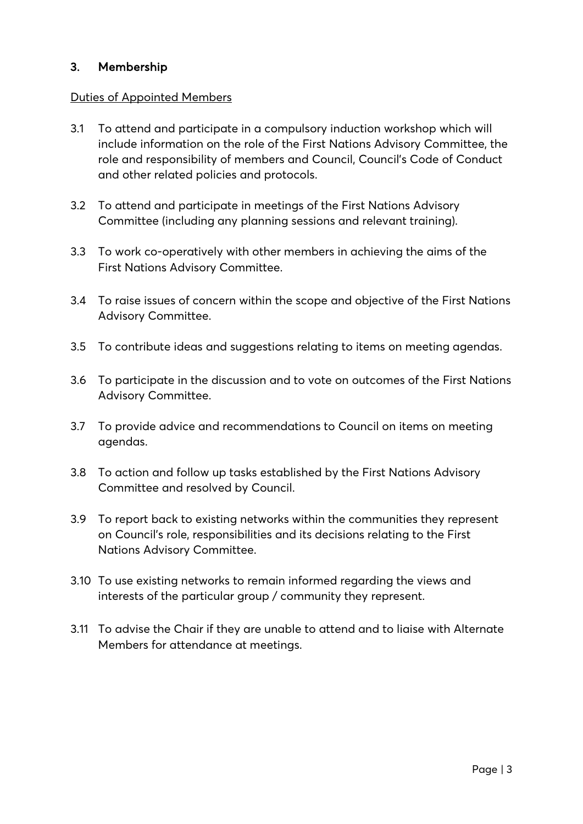# 3. Membership

## Duties of Appointed Members

- 3.1 To attend and participate in a compulsory induction workshop which will include information on the role of the First Nations Advisory Committee, the role and responsibility of members and Council, Council's Code of Conduct and other related policies and protocols.
- 3.2 To attend and participate in meetings of the First Nations Advisory Committee (including any planning sessions and relevant training).
- 3.3 To work co-operatively with other members in achieving the aims of the First Nations Advisory Committee.
- 3.4 To raise issues of concern within the scope and objective of the First Nations Advisory Committee.
- 3.5 To contribute ideas and suggestions relating to items on meeting agendas.
- 3.6 To participate in the discussion and to vote on outcomes of the First Nations Advisory Committee.
- 3.7 To provide advice and recommendations to Council on items on meeting agendas.
- 3.8 To action and follow up tasks established by the First Nations Advisory Committee and resolved by Council.
- 3.9 To report back to existing networks within the communities they represent on Council's role, responsibilities and its decisions relating to the First Nations Advisory Committee.
- 3.10 To use existing networks to remain informed regarding the views and interests of the particular group / community they represent.
- 3.11 To advise the Chair if they are unable to attend and to liaise with Alternate Members for attendance at meetings.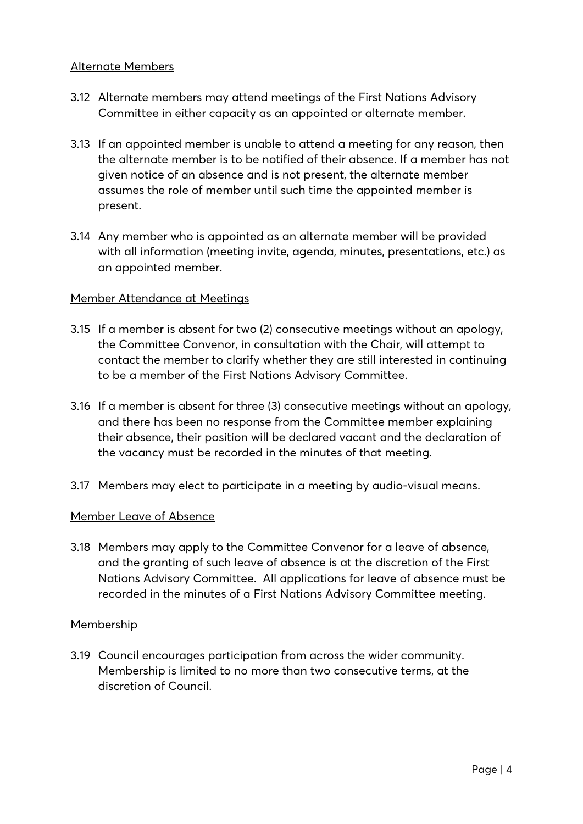#### Alternate Members

- 3.12 Alternate members may attend meetings of the First Nations Advisory Committee in either capacity as an appointed or alternate member.
- 3.13 If an appointed member is unable to attend a meeting for any reason, then the alternate member is to be notified of their absence. If a member has not given notice of an absence and is not present, the alternate member assumes the role of member until such time the appointed member is present.
- 3.14 Any member who is appointed as an alternate member will be provided with all information (meeting invite, agenda, minutes, presentations, etc.) as an appointed member.

#### Member Attendance at Meetings

- 3.15 If a member is absent for two (2) consecutive meetings without an apology, the Committee Convenor, in consultation with the Chair, will attempt to contact the member to clarify whether they are still interested in continuing to be a member of the First Nations Advisory Committee.
- 3.16 If a member is absent for three (3) consecutive meetings without an apology, and there has been no response from the Committee member explaining their absence, their position will be declared vacant and the declaration of the vacancy must be recorded in the minutes of that meeting.
- 3.17 Members may elect to participate in a meeting by audio-visual means.

#### Member Leave of Absence

3.18 Members may apply to the Committee Convenor for a leave of absence, and the granting of such leave of absence is at the discretion of the First Nations Advisory Committee. All applications for leave of absence must be recorded in the minutes of a First Nations Advisory Committee meeting.

### Membership

3.19 Council encourages participation from across the wider community. Membership is limited to no more than two consecutive terms, at the discretion of Council.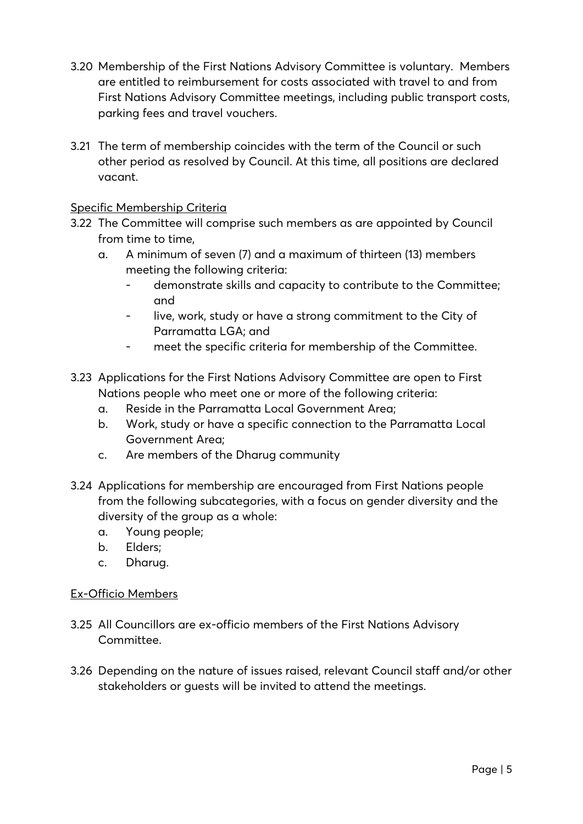- 3.20 Membership of the First Nations Advisory Committee is voluntary. Members are entitled to reimbursement for costs associated with travel to and from First Nations Advisory Committee meetings, including public transport costs, parking fees and travel vouchers.
- 3.21 The term of membership coincides with the term of the Council or such other period as resolved by Council. At this time, all positions are declared vacant.

## Specific Membership Criteria

- 3.22 The Committee will comprise such members as are appointed by Council from time to time,
	- a. A minimum of seven (7) and a maximum of thirteen (13) members meeting the following criteria:
		- demonstrate skills and capacity to contribute to the Committee; and
		- live, work, study or have a strong commitment to the City of Parramatta LGA; and
		- meet the specific criteria for membership of the Committee.
- 3.23 Applications for the First Nations Advisory Committee are open to First Nations people who meet one or more of the following criteria:
	- a. Reside in the Parramatta Local Government Area;
	- b. Work, study or have a specific connection to the Parramatta Local Government Area;
	- c. Are members of the Dharug community
- 3.24 Applications for membership are encouraged from First Nations people from the following subcategories, with a focus on gender diversity and the diversity of the group as a whole:
	- a. Young people;
	- b. Elders;
	- c. Dharug.

### Ex-Officio Members

- 3.25 All Councillors are ex-officio members of the First Nations Advisory Committee.
- 3.26 Depending on the nature of issues raised, relevant Council staff and/or other stakeholders or guests will be invited to attend the meetings.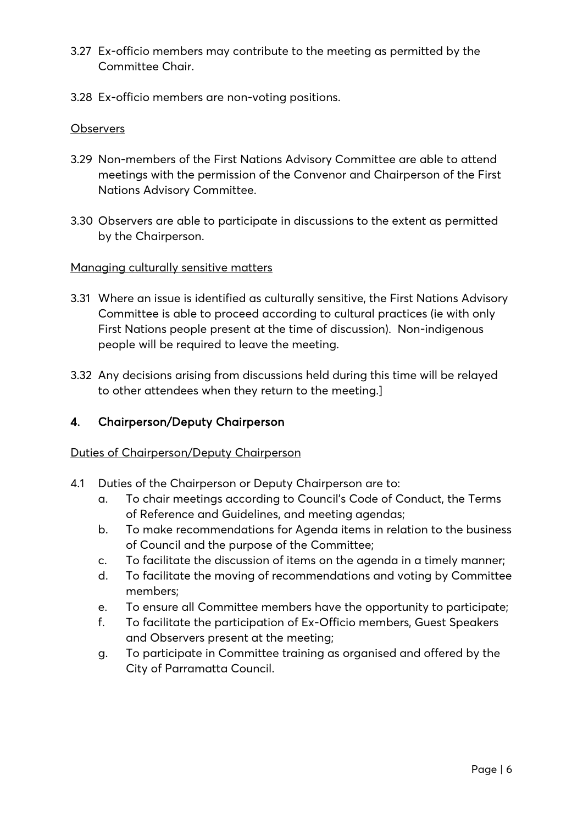- 3.27 Ex-officio members may contribute to the meeting as permitted by the Committee Chair.
- 3.28 Ex-officio members are non-voting positions.

### **Observers**

- 3.29 Non-members of the First Nations Advisory Committee are able to attend meetings with the permission of the Convenor and Chairperson of the First Nations Advisory Committee.
- 3.30 Observers are able to participate in discussions to the extent as permitted by the Chairperson.

### Managing culturally sensitive matters

- 3.31 Where an issue is identified as culturally sensitive, the First Nations Advisory Committee is able to proceed according to cultural practices (ie with only First Nations people present at the time of discussion). Non-indigenous people will be required to leave the meeting.
- 3.32 Any decisions arising from discussions held during this time will be relayed to other attendees when they return to the meeting.]

# 4. Chairperson/Deputy Chairperson

### Duties of Chairperson/Deputy Chairperson

- 4.1 Duties of the Chairperson or Deputy Chairperson are to:
	- a. To chair meetings according to Council's Code of Conduct, the Terms of Reference and Guidelines, and meeting agendas;
	- b. To make recommendations for Agenda items in relation to the business of Council and the purpose of the Committee;
	- c. To facilitate the discussion of items on the agenda in a timely manner;
	- d. To facilitate the moving of recommendations and voting by Committee members;
	- e. To ensure all Committee members have the opportunity to participate;
	- f. To facilitate the participation of Ex-Officio members, Guest Speakers and Observers present at the meeting;
	- g. To participate in Committee training as organised and offered by the City of Parramatta Council.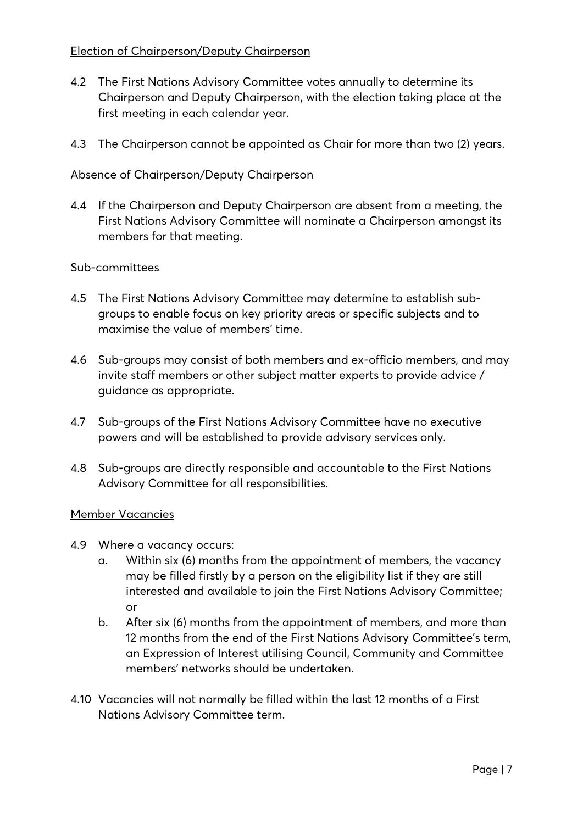- 4.2 The First Nations Advisory Committee votes annually to determine its Chairperson and Deputy Chairperson, with the election taking place at the first meeting in each calendar year.
- 4.3 The Chairperson cannot be appointed as Chair for more than two (2) years.

## Absence of Chairperson/Deputy Chairperson

4.4 If the Chairperson and Deputy Chairperson are absent from a meeting, the First Nations Advisory Committee will nominate a Chairperson amongst its members for that meeting.

## Sub-committees

- 4.5 The First Nations Advisory Committee may determine to establish subgroups to enable focus on key priority areas or specific subjects and to maximise the value of members' time.
- 4.6 Sub-groups may consist of both members and ex-officio members, and may invite staff members or other subject matter experts to provide advice / guidance as appropriate.
- 4.7 Sub-groups of the First Nations Advisory Committee have no executive powers and will be established to provide advisory services only.
- 4.8 Sub-groups are directly responsible and accountable to the First Nations Advisory Committee for all responsibilities.

### Member Vacancies

- 4.9 Where a vacancy occurs:
	- a. Within six (6) months from the appointment of members, the vacancy may be filled firstly by a person on the eligibility list if they are still interested and available to join the First Nations Advisory Committee; or
	- b. After six (6) months from the appointment of members, and more than 12 months from the end of the First Nations Advisory Committee's term, an Expression of Interest utilising Council, Community and Committee members' networks should be undertaken.
- 4.10 Vacancies will not normally be filled within the last 12 months of a First Nations Advisory Committee term.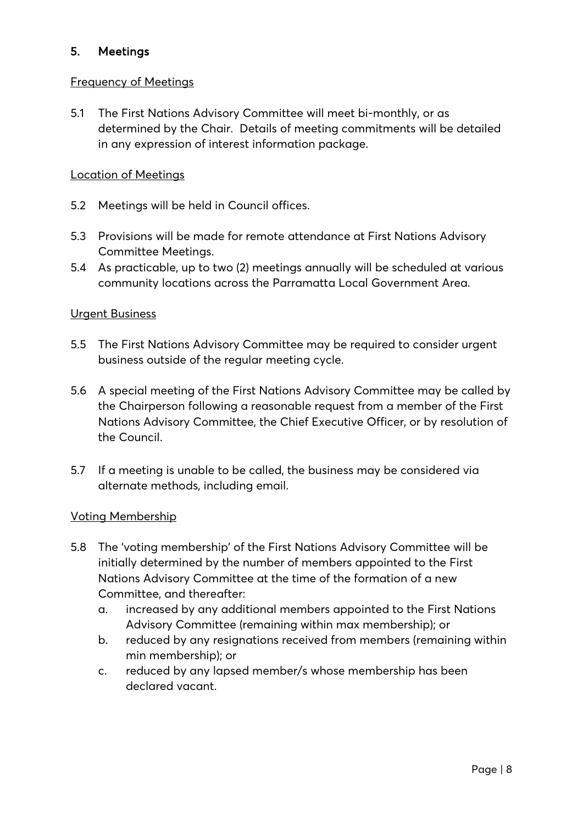# 5. Meetings

## Frequency of Meetings

5.1 The First Nations Advisory Committee will meet bi-monthly, or as determined by the Chair. Details of meeting commitments will be detailed in any expression of interest information package.

### Location of Meetings

- 5.2 Meetings will be held in Council offices.
- 5.3 Provisions will be made for remote attendance at First Nations Advisory Committee Meetings.
- 5.4 As practicable, up to two (2) meetings annually will be scheduled at various community locations across the Parramatta Local Government Area.

### Urgent Business

- 5.5 The First Nations Advisory Committee may be required to consider urgent business outside of the regular meeting cycle.
- 5.6 A special meeting of the First Nations Advisory Committee may be called by the Chairperson following a reasonable request from a member of the First Nations Advisory Committee, the Chief Executive Officer, or by resolution of the Council.
- 5.7 If a meeting is unable to be called, the business may be considered via alternate methods, including email.

### Voting Membership

- 5.8 The 'voting membership' of the First Nations Advisory Committee will be initially determined by the number of members appointed to the First Nations Advisory Committee at the time of the formation of a new Committee, and thereafter:
	- a. increased by any additional members appointed to the First Nations Advisory Committee (remaining within max membership); or
	- b. reduced by any resignations received from members (remaining within min membership); or
	- c. reduced by any lapsed member/s whose membership has been declared vacant.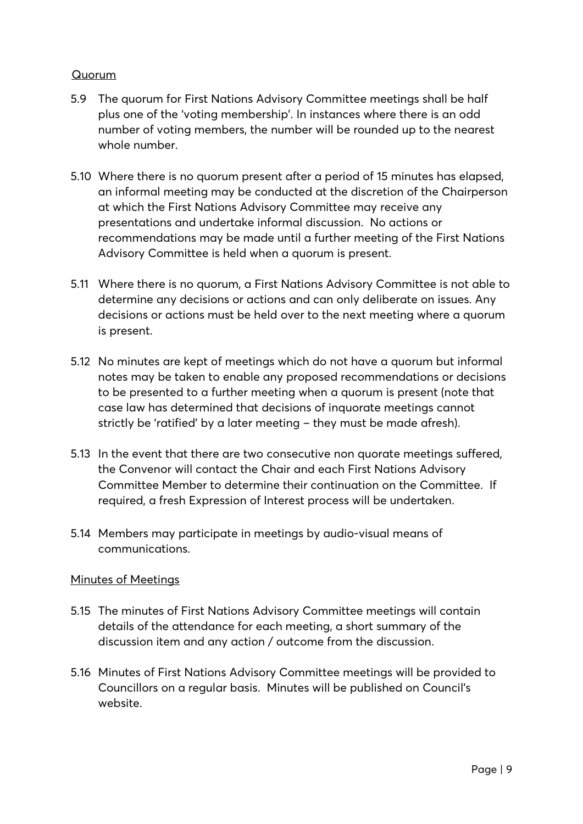## Quorum

- 5.9 The quorum for First Nations Advisory Committee meetings shall be half plus one of the 'voting membership'. In instances where there is an odd number of voting members, the number will be rounded up to the nearest whole number.
- 5.10 Where there is no quorum present after a period of 15 minutes has elapsed, an informal meeting may be conducted at the discretion of the Chairperson at which the First Nations Advisory Committee may receive any presentations and undertake informal discussion. No actions or recommendations may be made until a further meeting of the First Nations Advisory Committee is held when a quorum is present.
- 5.11 Where there is no quorum, a First Nations Advisory Committee is not able to determine any decisions or actions and can only deliberate on issues. Any decisions or actions must be held over to the next meeting where a quorum is present.
- 5.12 No minutes are kept of meetings which do not have a quorum but informal notes may be taken to enable any proposed recommendations or decisions to be presented to a further meeting when a quorum is present (note that case law has determined that decisions of inquorate meetings cannot strictly be 'ratified' by a later meeting – they must be made afresh).
- 5.13 In the event that there are two consecutive non quorate meetings suffered, the Convenor will contact the Chair and each First Nations Advisory Committee Member to determine their continuation on the Committee. If required, a fresh Expression of Interest process will be undertaken.
- 5.14 Members may participate in meetings by audio-visual means of communications.

### Minutes of Meetings

- 5.15 The minutes of First Nations Advisory Committee meetings will contain details of the attendance for each meeting, a short summary of the discussion item and any action / outcome from the discussion.
- 5.16 Minutes of First Nations Advisory Committee meetings will be provided to Councillors on a regular basis. Minutes will be published on Council's website.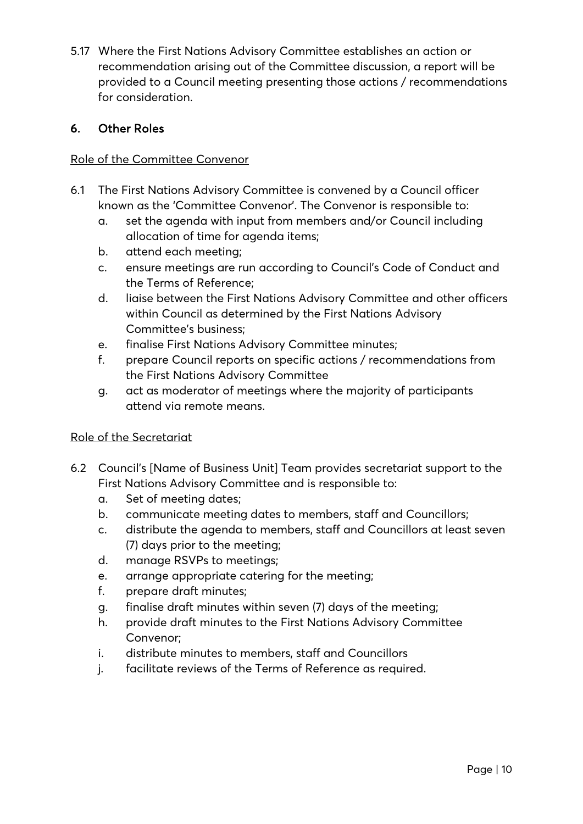5.17 Where the First Nations Advisory Committee establishes an action or recommendation arising out of the Committee discussion, a report will be provided to a Council meeting presenting those actions / recommendations for consideration.

# 6. Other Roles

## Role of the Committee Convenor

- 6.1 The First Nations Advisory Committee is convened by a Council officer known as the 'Committee Convenor'. The Convenor is responsible to:
	- a. set the agenda with input from members and/or Council including allocation of time for agenda items;
	- b. attend each meeting;
	- c. ensure meetings are run according to Council's Code of Conduct and the Terms of Reference;
	- d. liaise between the First Nations Advisory Committee and other officers within Council as determined by the First Nations Advisory Committee's business;
	- e. finalise First Nations Advisory Committee minutes;
	- f. prepare Council reports on specific actions / recommendations from the First Nations Advisory Committee
	- g. act as moderator of meetings where the majority of participants attend via remote means.

# Role of the Secretariat

- 6.2 Council's [Name of Business Unit] Team provides secretariat support to the First Nations Advisory Committee and is responsible to:
	- a. Set of meeting dates;
	- b. communicate meeting dates to members, staff and Councillors;
	- c. distribute the agenda to members, staff and Councillors at least seven (7) days prior to the meeting;
	- d. manage RSVPs to meetings;
	- e. arrange appropriate catering for the meeting;
	- f. prepare draft minutes;
	- g. finalise draft minutes within seven (7) days of the meeting;
	- h. provide draft minutes to the First Nations Advisory Committee Convenor;
	- i. distribute minutes to members, staff and Councillors
	- j. facilitate reviews of the Terms of Reference as required.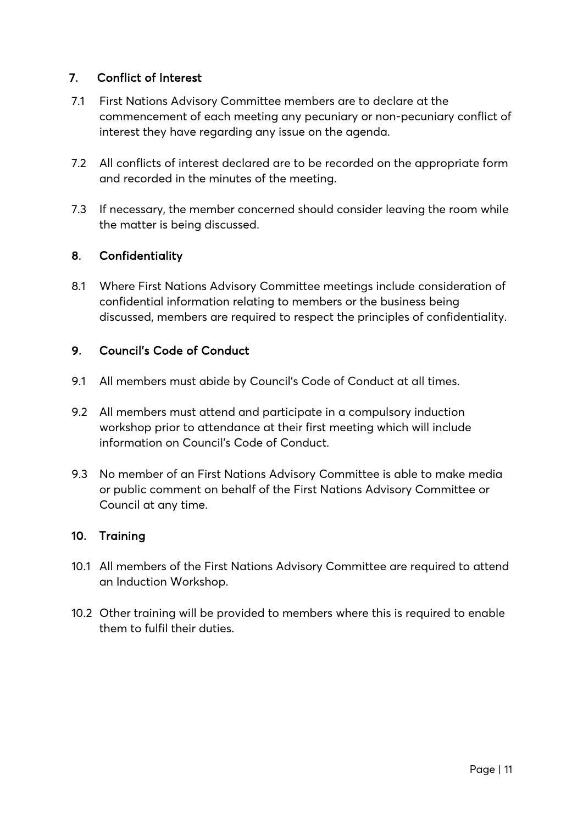# 7. Conflict of Interest

- 7.1 First Nations Advisory Committee members are to declare at the commencement of each meeting any pecuniary or non-pecuniary conflict of interest they have regarding any issue on the agenda.
- 7.2 All conflicts of interest declared are to be recorded on the appropriate form and recorded in the minutes of the meeting.
- 7.3 If necessary, the member concerned should consider leaving the room while the matter is being discussed.

# 8. Confidentiality

8.1 Where First Nations Advisory Committee meetings include consideration of confidential information relating to members or the business being discussed, members are required to respect the principles of confidentiality.

# 9. Council's Code of Conduct

- 9.1 All members must abide by Council's Code of Conduct at all times.
- 9.2 All members must attend and participate in a compulsory induction workshop prior to attendance at their first meeting which will include information on Council's Code of Conduct.
- 9.3 No member of an First Nations Advisory Committee is able to make media or public comment on behalf of the First Nations Advisory Committee or Council at any time.

# 10. Training

- 10.1 All members of the First Nations Advisory Committee are required to attend an Induction Workshop.
- 10.2 Other training will be provided to members where this is required to enable them to fulfil their duties.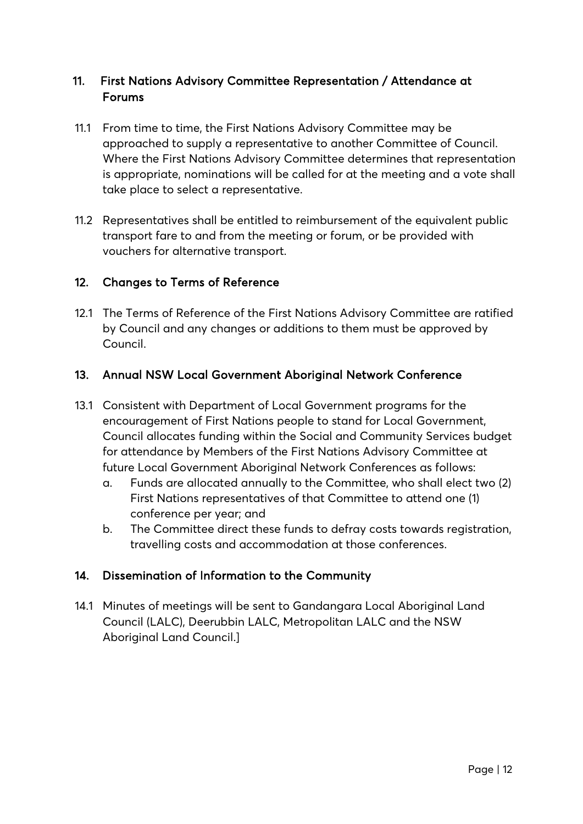# Forums 11. First Nations Advisory Committee Representation / Attendance at

- 11.1 From time to time, the First Nations Advisory Committee may be approached to supply a representative to another Committee of Council. Where the First Nations Advisory Committee determines that representation is appropriate, nominations will be called for at the meeting and a vote shall take place to select a representative.
- 11.2 Representatives shall be entitled to reimbursement of the equivalent public transport fare to and from the meeting or forum, or be provided with vouchers for alternative transport.

# 12. Changes to Terms of Reference

12.1 The Terms of Reference of the First Nations Advisory Committee are ratified by Council and any changes or additions to them must be approved by Council.

# 13. Annual NSW Local Government Aboriginal Network Conference

- 13.1 Consistent with Department of Local Government programs for the encouragement of First Nations people to stand for Local Government, Council allocates funding within the Social and Community Services budget for attendance by Members of the First Nations Advisory Committee at future Local Government Aboriginal Network Conferences as follows:
	- a. Funds are allocated annually to the Committee, who shall elect two (2) First Nations representatives of that Committee to attend one (1) conference per year; and
	- b. The Committee direct these funds to defray costs towards registration, travelling costs and accommodation at those conferences.

# 14. Dissemination of Information to the Community

14.1 Minutes of meetings will be sent to Gandangara Local Aboriginal Land Council (LALC), Deerubbin LALC, Metropolitan LALC and the NSW Aboriginal Land Council.]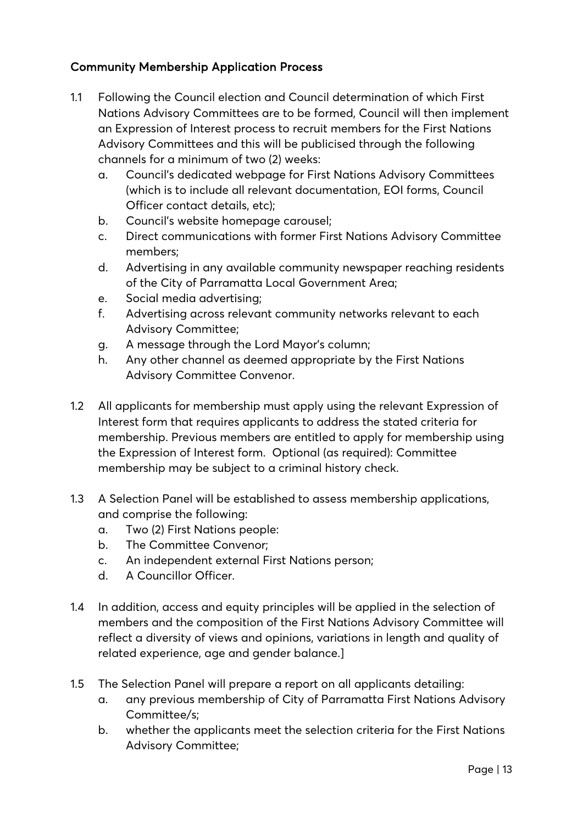# Community Membership Application Process

- 1.1 Following the Council election and Council determination of which First Nations Advisory Committees are to be formed, Council will then implement an Expression of Interest process to recruit members for the First Nations Advisory Committees and this will be publicised through the following channels for a minimum of two (2) weeks:
	- a. Council's dedicated webpage for First Nations Advisory Committees (which is to include all relevant documentation, EOI forms, Council Officer contact details, etc);
	- b. Council's website homepage carousel;
	- c. Direct communications with former First Nations Advisory Committee members;
	- d. Advertising in any available community newspaper reaching residents of the City of Parramatta Local Government Area;
	- e. Social media advertising;
	- f. Advertising across relevant community networks relevant to each Advisory Committee;
	- g. A message through the Lord Mayor's column;
	- h. Any other channel as deemed appropriate by the First Nations Advisory Committee Convenor.
- 1.2 All applicants for membership must apply using the relevant Expression of Interest form that requires applicants to address the stated criteria for membership. Previous members are entitled to apply for membership using the Expression of Interest form. Optional (as required): Committee membership may be subject to a criminal history check.
- 1.3 A Selection Panel will be established to assess membership applications, and comprise the following:
	- a. Two (2) First Nations people:
	- b. The Committee Convenor;
	- c. An independent external First Nations person;
	- d. A Councillor Officer.
- 1.4 In addition, access and equity principles will be applied in the selection of members and the composition of the First Nations Advisory Committee will reflect a diversity of views and opinions, variations in length and quality of related experience, age and gender balance.]
- 1.5 The Selection Panel will prepare a report on all applicants detailing:
	- a. any previous membership of City of Parramatta First Nations Advisory Committee/s;
	- b. whether the applicants meet the selection criteria for the First Nations Advisory Committee;